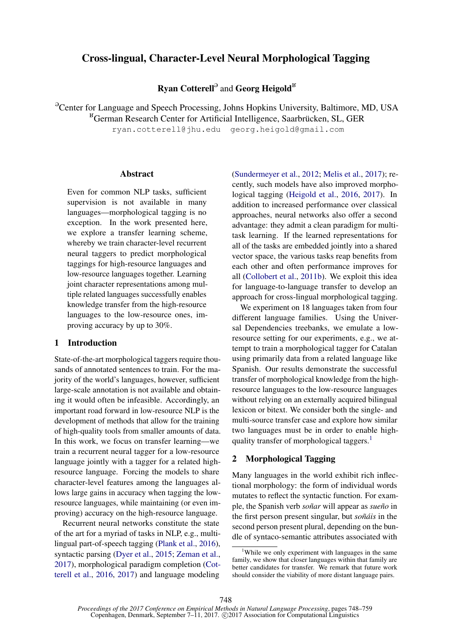# Cross-lingual, Character-Level Neural Morphological Tagging

Ryan Cotterell<sup>9</sup> and Georg Heigold<sup>B</sup>

<sup>9</sup> Center for Language and Speech Processing, Johns Hopkins University, Baltimore, MD, USA

 $K<sup>B</sup>$ German Research Center for Artificial Intelligence, Saarbrücken, SL, GER

ryan.cotterell@jhu.edu georg.heigold@gmail.com

#### Abstract

Even for common NLP tasks, sufficient supervision is not available in many languages—morphological tagging is no exception. In the work presented here, we explore a transfer learning scheme, whereby we train character-level recurrent neural taggers to predict morphological taggings for high-resource languages and low-resource languages together. Learning joint character representations among multiple related languages successfully enables knowledge transfer from the high-resource languages to the low-resource ones, improving accuracy by up to 30%.

#### 1 Introduction

State-of-the-art morphological taggers require thousands of annotated sentences to train. For the majority of the world's languages, however, sufficient large-scale annotation is not available and obtaining it would often be infeasible. Accordingly, an important road forward in low-resource NLP is the development of methods that allow for the training of high-quality tools from smaller amounts of data. In this work, we focus on transfer learning—we train a recurrent neural tagger for a low-resource language jointly with a tagger for a related highresource language. Forcing the models to share character-level features among the languages allows large gains in accuracy when tagging the lowresource languages, while maintaining (or even improving) accuracy on the high-resource language.

Recurrent neural networks constitute the state of the art for a myriad of tasks in NLP, e.g., multilingual part-of-speech tagging (Plank et al., 2016), syntactic parsing (Dyer et al., 2015; Zeman et al., 2017), morphological paradigm completion (Cotterell et al., 2016, 2017) and language modeling

(Sundermeyer et al., 2012; Melis et al., 2017); recently, such models have also improved morphological tagging (Heigold et al., 2016, 2017). In addition to increased performance over classical approaches, neural networks also offer a second advantage: they admit a clean paradigm for multitask learning. If the learned representations for all of the tasks are embedded jointly into a shared vector space, the various tasks reap benefits from each other and often performance improves for all (Collobert et al., 2011b). We exploit this idea for language-to-language transfer to develop an approach for cross-lingual morphological tagging.

We experiment on 18 languages taken from four different language families. Using the Universal Dependencies treebanks, we emulate a lowresource setting for our experiments, e.g., we attempt to train a morphological tagger for Catalan using primarily data from a related language like Spanish. Our results demonstrate the successful transfer of morphological knowledge from the highresource languages to the low-resource languages without relying on an externally acquired bilingual lexicon or bitext. We consider both the single- and multi-source transfer case and explore how similar two languages must be in order to enable highquality transfer of morphological taggers.<sup>1</sup>

### 2 Morphological Tagging

Many languages in the world exhibit rich inflectional morphology: the form of individual words mutates to reflect the syntactic function. For example, the Spanish verb *soñar* will appear as *sueño* in the first person present singular, but *soñáis* in the second person present plural, depending on the bundle of syntaco-semantic attributes associated with

<sup>&</sup>lt;sup>1</sup>While we only experiment with languages in the same family, we show that closer languages within that family are better candidates for transfer. We remark that future work should consider the viability of more distant language pairs.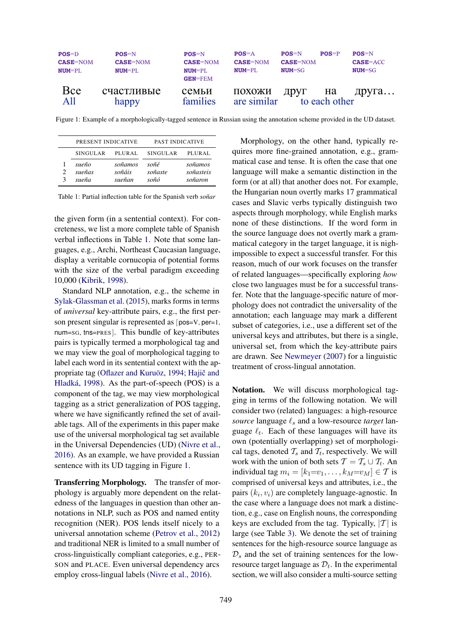

Figure 1: Example of a morphologically-tagged sentence in Russian using the annotation scheme provided in the UD dataset.

| PRESENT INDICATIVE       |                             | PAST INDICATIVE         |                                 |  |  |  |  |
|--------------------------|-----------------------------|-------------------------|---------------------------------|--|--|--|--|
| <b>SINGULAR</b>          | PLURAL                      | <b>SINGULAR</b>         | PLURAL                          |  |  |  |  |
| sueño<br>sueñas<br>sueña | soñamos<br>soñáis<br>sueñan | soñé<br>soñaste<br>soñó | soñamos<br>soñasteis<br>soñaron |  |  |  |  |

Table 1: Partial inflection table for the Spanish verb *soñar* 

the given form (in a sentential context). For concreteness, we list a more complete table of Spanish verbal inflections in Table 1. Note that some languages, e.g., Archi, Northeast Caucasian language, display a veritable cornucopia of potential forms with the size of the verbal paradigm exceeding 10,000 (Kibrik, 1998).

Standard NLP annotation, e.g., the scheme in Sylak-Glassman et al. (2015), marks forms in terms of *universal* key-attribute pairs, e.g., the first person present singular is represented as [pos=V, per=1, num=SG, tns=PRES ]. This bundle of key-attributes pairs is typically termed a morphological tag and we may view the goal of morphological tagging to label each word in its sentential context with the appropriate tag (Oflazer and Kuruöz, 1994; Hajič and Hladka´, 1998). As the part-of-speech (POS) is a component of the tag, we may view morphological tagging as a strict generalization of POS tagging, where we have significantly refined the set of available tags. All of the experiments in this paper make use of the universal morphological tag set available in the Universal Dependencies (UD) (Nivre et al., 2016). As an example, we have provided a Russian sentence with its UD tagging in Figure 1.

Transferring Morphology. The transfer of morphology is arguably more dependent on the relatedness of the languages in question than other annotations in NLP, such as POS and named entity recognition (NER). POS lends itself nicely to a universal annotation scheme (Petrov et al., 2012) and traditional NER is limited to a small number of cross-linguistically compliant categories, e.g., PER-SON and PLACE. Even universal dependency arcs employ cross-lingual labels (Nivre et al., 2016).

Morphology, on the other hand, typically requires more fine-grained annotation, e.g., grammatical case and tense. It is often the case that one language will make a semantic distinction in the form (or at all) that another does not. For example, the Hungarian noun overtly marks 17 grammatical cases and Slavic verbs typically distinguish two aspects through morphology, while English marks none of these distinctions. If the word form in the source language does not overtly mark a grammatical category in the target language, it is nighimpossible to expect a successful transfer. For this reason, much of our work focuses on the transfer of related languages—specifically exploring *how* close two languages must be for a successful transfer. Note that the language-specific nature of morphology does not contradict the universality of the annotation; each language may mark a different subset of categories, i.e., use a different set of the universal keys and attributes, but there is a single, universal set, from which the key-attribute pairs are drawn. See Newmeyer (2007) for a linguistic treatment of cross-lingual annotation.

Notation. We will discuss morphological tagging in terms of the following notation. We will consider two (related) languages: a high-resource *source* language  $\ell_s$  and a low-resource *target* language  $\ell_t$ . Each of these languages will have its own (potentially overlapping) set of morphological tags, denoted  $T_s$  and  $T_t$ , respectively. We will work with the union of both sets  $T = T_s \cup T_t$ . An individual tag  $m_i = [k_1 = v_1, \dots, k_M = v_M] \in \mathcal{T}$  is comprised of universal keys and attributes, i.e., the pairs  $(k_i, v_i)$  are completely language-agnostic. In the case where a language does not mark a distinction, e.g., case on English nouns, the corresponding keys are excluded from the tag. Typically,  $|T|$  is large (see Table 3). We denote the set of training sentences for the high-resource source language as  $\mathcal{D}_s$  and the set of training sentences for the lowresource target language as  $\mathcal{D}_t$ . In the experimental section, we will also consider a multi-source setting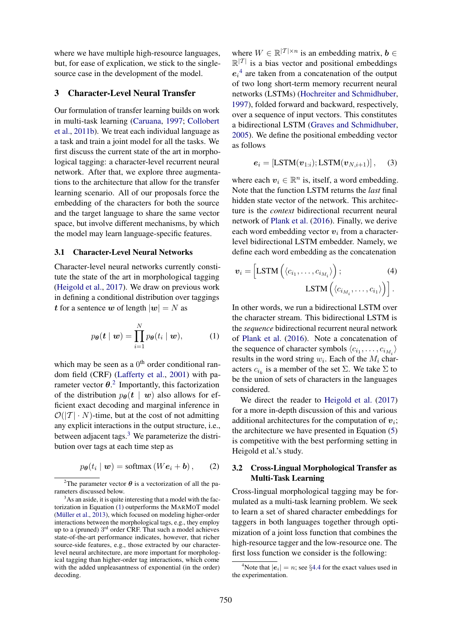where we have multiple high-resource languages, but, for ease of explication, we stick to the singlesource case in the development of the model.

#### 3 Character-Level Neural Transfer

Our formulation of transfer learning builds on work in multi-task learning (Caruana, 1997; Collobert et al., 2011b). We treat each individual language as a task and train a joint model for all the tasks. We first discuss the current state of the art in morphological tagging: a character-level recurrent neural network. After that, we explore three augmentations to the architecture that allow for the transfer learning scenario. All of our proposals force the embedding of the characters for both the source and the target language to share the same vector space, but involve different mechanisms, by which the model may learn language-specific features.

#### 3.1 Character-Level Neural Networks

Character-level neural networks currently constitute the state of the art in morphological tagging (Heigold et al., 2017). We draw on previous work in defining a conditional distribution over taggings t for a sentence w of length  $|w| = N$  as

$$
p_{\theta}(\boldsymbol{t} \mid \boldsymbol{w}) = \prod_{i=1}^{N} p_{\theta}(t_i \mid \boldsymbol{w}), \qquad (1)
$$

which may be seen as a  $0<sup>th</sup>$  order conditional random field (CRF) (Lafferty et al., 2001) with parameter vector  $\theta$ .<sup>2</sup> Importantly, this factorization of the distribution  $p_{\theta}(t \mid w)$  also allows for efficient exact decoding and marginal inference in  $\mathcal{O}(|\mathcal{T}| \cdot N)$ -time, but at the cost of not admitting any explicit interactions in the output structure, i.e., between adjacent tags. $3$  We parameterize the distribution over tags at each time step as

$$
p_{\boldsymbol{\theta}}(t_i \mid \boldsymbol{w}) = \text{softmax}(W\boldsymbol{e}_i + \boldsymbol{b}), \qquad (2)
$$

where  $W \in \mathbb{R}^{|{\mathcal{T}}| \times n}$  is an embedding matrix,  $\mathbf{b} \in$  $\mathbb{R}^{|I|}$  is a bias vector and positional embeddings  $e_i^4$  are taken from a concatenation of the output of two long short-term memory recurrent neural networks (LSTMs) (Hochreiter and Schmidhuber, 1997), folded forward and backward, respectively, over a sequence of input vectors. This constitutes a bidirectional LSTM (Graves and Schmidhuber, 2005). We define the positional embedding vector as follows

$$
\boldsymbol{e}_i = \left[ \text{LSTM}(\boldsymbol{v}_{1:i}); \text{LSTM}(\boldsymbol{v}_{N,i+1}) \right], \quad (3)
$$

where each  $v_i \in \mathbb{R}^n$  is, itself, a word embedding. Note that the function LSTM returns the *last* final hidden state vector of the network. This architecture is the *context* bidirectional recurrent neural network of Plank et al. (2016). Finally, we derive each word embedding vector  $v_i$  from a characterlevel bidirectional LSTM embedder. Namely, we define each word embedding as the concatenation

$$
\boldsymbol{v}_{i} = \left[ \text{LSTM}\left( \langle c_{i_1}, \dots, c_{i_{M_i}} \rangle \right); \tag{4}
$$

$$
\text{LSTM}\left( \langle c_{i_{M_i}}, \dots, c_{i_1} \rangle \right) \right].
$$

In other words, we run a bidirectional LSTM over the character stream. This bidirectional LSTM is the *sequence* bidirectional recurrent neural network of Plank et al. (2016). Note a concatenation of the sequence of character symbols  $\langle c_{i_1}, \ldots, c_{i_{M_i}} \rangle$ results in the word string  $w_i$ . Each of the  $M_i$  characters  $c_{i_k}$  is a member of the set  $\Sigma$ . We take  $\Sigma$  to be the union of sets of characters in the languages considered.

We direct the reader to Heigold et al. (2017) for a more in-depth discussion of this and various additional architectures for the computation of  $v_i$ ; the architecture we have presented in Equation (5) is competitive with the best performing setting in Heigold et al.'s study.

#### 3.2 Cross-Lingual Morphological Transfer as Multi-Task Learning

Cross-lingual morphological tagging may be formulated as a multi-task learning problem. We seek to learn a set of shared character embeddings for taggers in both languages together through optimization of a joint loss function that combines the high-resource tagger and the low-resource one. The first loss function we consider is the following:

<sup>&</sup>lt;sup>2</sup>The parameter vector  $\theta$  is a vectorization of all the parameters discussed below.

 $3<sup>3</sup>$ As an aside, it is quite interesting that a model with the factorization in Equation (1) outperforms the MARMOT model (Müller et al., 2013), which focused on modeling higher-order interactions between the morphological tags, e.g., they employ up to a (pruned) 3<sup>rd</sup> order CRF. That such a model achieves state-of-the-art performance indicates, however, that richer source-side features, e.g., those extracted by our characterlevel neural architecture, are more important for morphological tagging than higher-order tag interactions, which come with the added unpleasantness of exponential (in the order) decoding.

<sup>&</sup>lt;sup>4</sup>Note that  $|e_i| = n$ ; see §4.4 for the exact values used in the experimentation.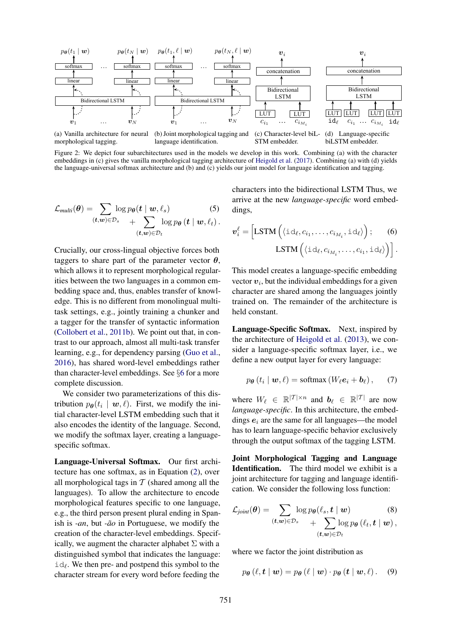

Figure 2: We depict four subarchitectures used in the models we develop in this work. Combining (a) with the character embeddings in (c) gives the vanilla morphological tagging architecture of Heigold et al. (2017). Combining (a) with (d) yields the language-universal softmax architecture and (b) and (c) yields our joint model for language identification and tagging.

$$
\mathcal{L}_{multi}(\boldsymbol{\theta}) = \sum_{(\boldsymbol{t},\boldsymbol{w}) \in \mathcal{D}_s} \log p_{\boldsymbol{\theta}}(\boldsymbol{t} \mid \boldsymbol{w}, \ell_s)
$$
(5)  

$$
+ \sum_{(\boldsymbol{t},\boldsymbol{w}) \in \mathcal{D}_t} \log p_{\boldsymbol{\theta}}(\boldsymbol{t} \mid \boldsymbol{w}, \ell_t).
$$

Crucially, our cross-lingual objective forces both taggers to share part of the parameter vector  $\theta$ , which allows it to represent morphological regularities between the two languages in a common embedding space and, thus, enables transfer of knowledge. This is no different from monolingual multitask settings, e.g., jointly training a chunker and a tagger for the transfer of syntactic information (Collobert et al., 2011b). We point out that, in contrast to our approach, almost all multi-task transfer learning, e.g., for dependency parsing (Guo et al., 2016), has shared word-level embeddings rather than character-level embeddings. See §6 for a more complete discussion.

We consider two parameterizations of this distribution  $p_{\theta}(t_i \mid \boldsymbol{w}, \ell)$ . First, we modify the initial character-level LSTM embedding such that it also encodes the identity of the language. Second, we modify the softmax layer, creating a languagespecific softmax.

Language-Universal Softmax. Our first architecture has one softmax, as in Equation (2), over all morphological tags in  $T$  (shared among all the languages). To allow the architecture to encode morphological features specific to one language, e.g., the third person present plural ending in Spanish is *-an*, but *-ão* in Portuguese, we modify the creation of the character-level embeddings. Specifically, we augment the character alphabet  $\Sigma$  with a distinguished symbol that indicates the language:  $id_\ell$ . We then pre- and postpend this symbol to the character stream for every word before feeding the

characters into the bidirectional LSTM Thus, we arrive at the new *language-specific* word embeddings,

$$
\boldsymbol{v}_{i}^{\ell} = \left[ \text{LSTM}\left( \langle \text{id}_{\ell}, c_{i_{1}}, \dots, c_{i_{M_{i}}}, \text{id}_{\ell} \rangle \right); \quad (6)
$$

$$
\text{LSTM}\left( \langle \text{id}_{\ell}, c_{i_{M_{i}}}, \dots, c_{i_{1}}, \text{id}_{\ell} \rangle \right) \right].
$$

This model creates a language-specific embedding vector  $v_i$ , but the individual embeddings for a given character are shared among the languages jointly trained on. The remainder of the architecture is held constant.

Language-Specific Softmax. Next, inspired by the architecture of Heigold et al. (2013), we consider a language-specific softmax layer, i.e., we define a new output layer for every language:

$$
p_{\boldsymbol{\theta}}(t_i \mid \boldsymbol{w}, \ell) = \text{softmax}(W_{\ell} \boldsymbol{e}_i + \boldsymbol{b}_{\ell}), \qquad (7)
$$

where  $W_{\ell} \in \mathbb{R}^{|{\mathcal{T}}| \times n}$  and  $b_{\ell} \in \mathbb{R}^{|{\mathcal{T}}|}$  are now *language-specific*. In this architecture, the embeddings  $e_i$  are the same for all languages—the model has to learn language-specific behavior exclusively through the output softmax of the tagging LSTM.

Joint Morphological Tagging and Language Identification. The third model we exhibit is a joint architecture for tagging and language identification. We consider the following loss function:

$$
\mathcal{L}_{joint}(\boldsymbol{\theta}) = \sum_{(\boldsymbol{t},\boldsymbol{w}) \in \mathcal{D}_s} \log p_{\boldsymbol{\theta}}(\ell_s, \boldsymbol{t} \mid \boldsymbol{w}) \qquad (8)
$$

$$
+ \sum_{(\boldsymbol{t},\boldsymbol{w}) \in \mathcal{D}_t} \log p_{\boldsymbol{\theta}}(\ell_t, \boldsymbol{t} \mid \boldsymbol{w}),
$$

where we factor the joint distribution as

$$
p_{\theta}(\ell, \mathbf{t} \mid \mathbf{w}) = p_{\theta}(\ell \mid \mathbf{w}) \cdot p_{\theta}(\mathbf{t} \mid \mathbf{w}, \ell). \quad (9)
$$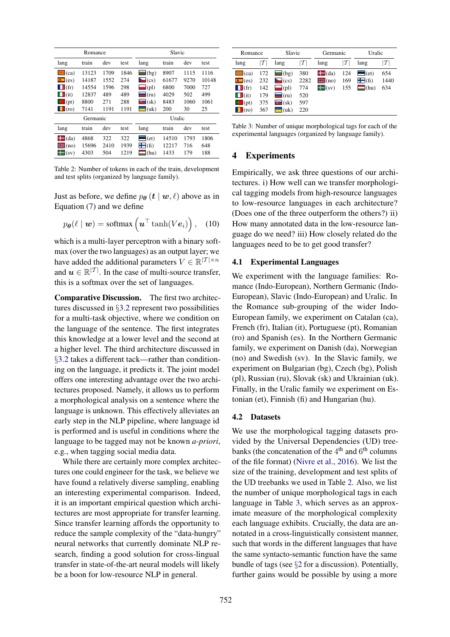|                     | Romance  |      |      | Slavic              |       |      |       |  |  |  |  |
|---------------------|----------|------|------|---------------------|-------|------|-------|--|--|--|--|
| lang                | train    | dev  | test | lang                | train | dev  | test  |  |  |  |  |
| $\equiv$ (ca)       | 13123    | 1709 | 1846 | $\blacksquare$ (bg) | 8907  | 1115 | 1116  |  |  |  |  |
| $\blacksquare$ (es) | 14187    | 1552 | 274  | $\sum$ (cs)         | 61677 | 9270 | 10148 |  |  |  |  |
| (fr)<br>w           | 14554    | 1596 | 298  | $\blacksquare$ (pl) | 6800  | 7000 | 727   |  |  |  |  |
| $\blacksquare$ (it) | 12837    | 489  | 489  | $\blacksquare$ (ru) | 4029  | 502  | 499   |  |  |  |  |
| $\bullet$ (pt)      | 8800     | 271  | 288  | $\mathbf{C}$ (sk)   | 8483  | 1060 | 1061  |  |  |  |  |
| $\vert$ (ro)        | 7141     | 1191 | 1191 | $-$ (uk)            | 200   | 30   | 25    |  |  |  |  |
|                     | Germanic |      |      | Uralic              |       |      |       |  |  |  |  |
| lang                | train    | dev  | test | lang                | train | dev  | test  |  |  |  |  |
| $\blacksquare$ (da) | 4868     | 322  | 322  | $=$ (et)            | 14510 | 1793 | 1806  |  |  |  |  |
| $\blacksquare$ (no) | 15696    | 2410 | 1939 | $\blacksquare$ (fi) | 12217 | 716  | 648   |  |  |  |  |
| $\blacksquare$ (sv) | 4303     | 504  | 1219 | $\blacksquare$ (hu) | 1433  | 179  | 188   |  |  |  |  |

Table 2: Number of tokens in each of the train, development and test splits (organized by language family).

Just as before, we define  $p_{\theta} (t | w, \ell)$  above as in Equation (7) and we define

$$
p_{\theta}(\ell \mid \boldsymbol{w}) = \text{softmax}\left(\boldsymbol{u}^{\top} \tanh(V\boldsymbol{e}_i)\right), \quad (10)
$$

which is a multi-layer perceptron with a binary softmax (over the two languages) as an output layer; we have added the additional parameters  $V \in \mathbb{R}^{|{\mathcal{T}}| \times n}$ and  $u \in \mathbb{R}^{|T|}$ . In the case of multi-source transfer, this is a softmax over the set of languages.

Comparative Discussion. The first two architectures discussed in §3.2 represent two possibilities for a multi-task objective, where we condition on the language of the sentence. The first integrates this knowledge at a lower level and the second at a higher level. The third architecture discussed in §3.2 takes a different tack—rather than conditioning on the language, it predicts it. The joint model offers one interesting advantage over the two architectures proposed. Namely, it allows us to perform a morphological analysis on a sentence where the language is unknown. This effectively alleviates an early step in the NLP pipeline, where language id is performed and is useful in conditions where the language to be tagged may not be known *a-priori*, e.g., when tagging social media data.

While there are certainly more complex architectures one could engineer for the task, we believe we have found a relatively diverse sampling, enabling an interesting experimental comparison. Indeed, it is an important empirical question which architectures are most appropriate for transfer learning. Since transfer learning affords the opportunity to reduce the sample complexity of the "data-hungry" neural networks that currently dominate NLP research, finding a good solution for cross-lingual transfer in state-of-the-art neural models will likely be a boon for low-resource NLP in general.

| Romance             |            | Slavic              |                 | Germanic            |       | Uralic              |        |  |  |
|---------------------|------------|---------------------|-----------------|---------------------|-------|---------------------|--------|--|--|
| lang                | T <br>lang |                     | $ \mathcal{T} $ | lang                | $T_1$ | lang                | $\tau$ |  |  |
| $\equiv$ (ca)       | 172        | $\equiv$ (bg)       | 380             | $\blacksquare$ (da) | 124   | $=$ (et)            | 654    |  |  |
| $\blacksquare$ (es) | 232        | $\sum$ (cs)         | 2282            | $\equiv$ (no)       | 169   | $\blacksquare$ (fi) | 1440   |  |  |
| $\blacksquare$ (fr) | 142        | $\Box$ (pl)         | 774             | $\blacksquare$ (sv) | 155   | $\blacksquare$ (hu) | 634    |  |  |
| $\blacksquare$ (it) | 179        | $\blacksquare$ (ru) | 520             |                     |       |                     |        |  |  |
| $\bullet$ (pt)      | 375        | $\bullet$ (sk)      | 597             |                     |       |                     |        |  |  |
| $\Box$ (ro)         | 367        | (uk)                | 220             |                     |       |                     |        |  |  |

Table 3: Number of unique morphological tags for each of the experimental languages (organized by language family).

### 4 Experiments

Empirically, we ask three questions of our architectures. i) How well can we transfer morphological tagging models from high-resource languages to low-resource languages in each architecture? (Does one of the three outperform the others?) ii) How many annotated data in the low-resource language do we need? iii) How closely related do the languages need to be to get good transfer?

#### 4.1 Experimental Languages

We experiment with the language families: Romance (Indo-European), Northern Germanic (Indo-European), Slavic (Indo-European) and Uralic. In the Romance sub-grouping of the wider Indo-European family, we experiment on Catalan (ca), French (fr), Italian (it), Portuguese (pt), Romanian (ro) and Spanish (es). In the Northern Germanic family, we experiment on Danish (da), Norwegian (no) and Swedish (sv). In the Slavic family, we experiment on Bulgarian (bg), Czech (bg), Polish (pl), Russian (ru), Slovak (sk) and Ukrainian (uk). Finally, in the Uralic family we experiment on Estonian (et), Finnish (fi) and Hungarian (hu).

#### 4.2 Datasets

We use the morphological tagging datasets provided by the Universal Dependencies (UD) treebanks (the concatenation of the  $4<sup>th</sup>$  and  $6<sup>th</sup>$  columns of the file format) (Nivre et al., 2016). We list the size of the training, development and test splits of the UD treebanks we used in Table 2. Also, we list the number of unique morphological tags in each language in Table 3, which serves as an approximate measure of the morphological complexity each language exhibits. Crucially, the data are annotated in a cross-linguistically consistent manner, such that words in the different languages that have the same syntacto-semantic function have the same bundle of tags (see §2 for a discussion). Potentially, further gains would be possible by using a more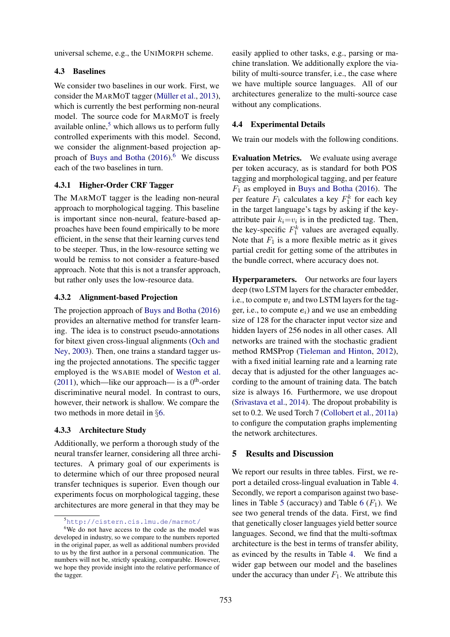universal scheme, e.g., the UNIMORPH scheme.

#### 4.3 Baselines

We consider two baselines in our work. First, we consider the MARMOT tagger (Müller et al., 2013), which is currently the best performing non-neural model. The source code for MARMOT is freely available online, $5$  which allows us to perform fully controlled experiments with this model. Second, we consider the alignment-based projection approach of Buys and Botha  $(2016)$ .<sup>6</sup> We discuss each of the two baselines in turn.

### 4.3.1 Higher-Order CRF Tagger

The MARMOT tagger is the leading non-neural approach to morphological tagging. This baseline is important since non-neural, feature-based approaches have been found empirically to be more efficient, in the sense that their learning curves tend to be steeper. Thus, in the low-resource setting we would be remiss to not consider a feature-based approach. Note that this is not a transfer approach, but rather only uses the low-resource data.

### 4.3.2 Alignment-based Projection

The projection approach of Buys and Botha (2016) provides an alternative method for transfer learning. The idea is to construct pseudo-annotations for bitext given cross-lingual alignments (Och and Ney, 2003). Then, one trains a standard tagger using the projected annotations. The specific tagger employed is the WSABIE model of Weston et al. (2011), which—like our approach— is a  $0<sup>th</sup>$ -order discriminative neural model. In contrast to ours, however, their network is shallow. We compare the two methods in more detail in §6.

### 4.3.3 Architecture Study

Additionally, we perform a thorough study of the neural transfer learner, considering all three architectures. A primary goal of our experiments is to determine which of our three proposed neural transfer techniques is superior. Even though our experiments focus on morphological tagging, these architectures are more general in that they may be

easily applied to other tasks, e.g., parsing or machine translation. We additionally explore the viability of multi-source transfer, i.e., the case where we have multiple source languages. All of our architectures generalize to the multi-source case without any complications.

## 4.4 Experimental Details

We train our models with the following conditions.

Evaluation Metrics. We evaluate using average per token accuracy, as is standard for both POS tagging and morphological tagging, and per feature  $F_1$  as employed in Buys and Botha (2016). The per feature  $F_1$  calculates a key  $F_1^k$  for each key in the target language's tags by asking if the keyattribute pair  $k_i = v_i$  is in the predicted tag. Then, the key-specific  $F_1^k$  values are averaged equally. Note that  $F_1$  is a more flexible metric as it gives partial credit for getting some of the attributes in the bundle correct, where accuracy does not.

Hyperparameters. Our networks are four layers deep (two LSTM layers for the character embedder, i.e., to compute  $v_i$  and two LSTM layers for the tagger, i.e., to compute  $e_i$ ) and we use an embedding size of 128 for the character input vector size and hidden layers of 256 nodes in all other cases. All networks are trained with the stochastic gradient method RMSProp (Tieleman and Hinton, 2012), with a fixed initial learning rate and a learning rate decay that is adjusted for the other languages according to the amount of training data. The batch size is always 16. Furthermore, we use dropout (Srivastava et al., 2014). The dropout probability is set to 0.2. We used Torch 7 (Collobert et al., 2011a) to configure the computation graphs implementing the network architectures.

# 5 Results and Discussion

We report our results in three tables. First, we report a detailed cross-lingual evaluation in Table 4. Secondly, we report a comparison against two baselines in Table 5 (accuracy) and Table 6  $(F_1)$ . We see two general trends of the data. First, we find that genetically closer languages yield better source languages. Second, we find that the multi-softmax architecture is the best in terms of transfer ability, as evinced by the results in Table 4. We find a wider gap between our model and the baselines under the accuracy than under  $F_1$ . We attribute this

<sup>5</sup>http://cistern.cis.lmu.de/marmot/

<sup>6</sup>We do not have access to the code as the model was developed in industry, so we compare to the numbers reported in the original paper, as well as additional numbers provided to us by the first author in a personal communication. The numbers will not be, strictly speaking, comparable. However, we hope they provide insight into the relative performance of the tagger.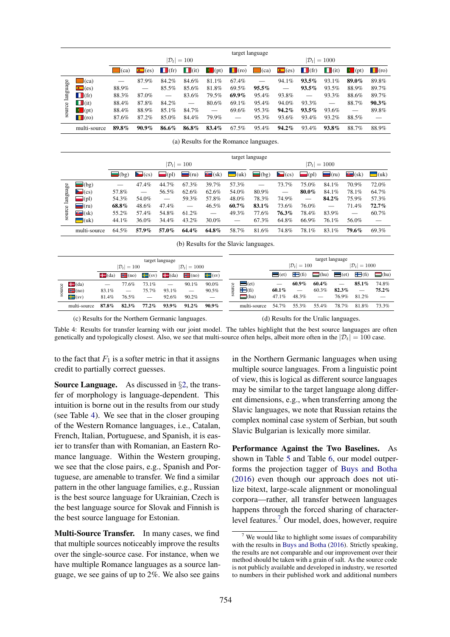|          |                     |               |                     |                     |                         |                | target language          |               |                     |                     |                     |                |             |
|----------|---------------------|---------------|---------------------|---------------------|-------------------------|----------------|--------------------------|---------------|---------------------|---------------------|---------------------|----------------|-------------|
|          |                     |               |                     |                     | $ \mathcal{D}_t  = 100$ |                | $ \mathcal{D}_t  = 1000$ |               |                     |                     |                     |                |             |
|          |                     | $\equiv$ (ca) | $\blacksquare$ (es) | $\blacksquare$ (fr) | $\blacksquare$ (it)     | $\bullet$ (pt) | $\Box$ (ro)              | $\equiv$ (ca) | $\blacksquare$ (es) | $\blacksquare$ (fr) | $\blacksquare$ (it) | $\bullet$ (pt) | $\Box$ (ro) |
|          | $\equiv$ (ca)       |               | 87.9%               | 84.2%               | 84.6%                   | 81.1%          | 67.4%                    |               | 94.1%               | $93.5\%$            | 93.1%               | 89.0%          | 89.8%       |
| language | $\blacksquare$ (es) | 88.9%         |                     | 85.5%               | 85.6%                   | 81.8%          | 69.5%                    | $95.5\%$      |                     | $93.5\%$            | 93.5%               | 88.9%          | 89.7%       |
|          | $\blacksquare$ (fr) | 88.3%         | 87.0%               |                     | 83.6%                   | 79.5%          | $69.9\%$                 | 95.4%         | 93.8%               |                     | 93.3%               | 88.6%          | 89.7%       |
|          | $\blacksquare$ (it) | 88.4%         | 87.8%               | 84.2%               |                         | 80.6%          | 69.1%                    | 95.4%         | 94.0%               | 93.3%               |                     | 88.7%          | $90.3\%$    |
| source   | $\bullet$ (pt)      | 88.4%         | 88.9%               | $85.1\%$            | 84.7%                   |                | 69.6%                    | 95.3%         | 94.2%               | $93.5\%$            | 93.6%               |                | 89.8%       |
|          | $\Box$ (ro)         | 87.6%         | 87.2%               | 85.0%               | 84.4%                   | 79.9%          |                          | 95.3%         | 93.6%               | 93.4%               | 93.2%               | 88.5%          |             |
|          | multi-source        | 89.8%         | $90.9\%$            | 86.6%               | 86.8%                   | 83.4%          | 67.5%                    | 95.4%         | 94.2%               | 93.4%               | 93.8%               | 88.7%          | 88.9%       |

(a) Results for the Romance languages.

|          |                     | target language |             |          |                         |                          |          |             |                     |                     |             |                   |                     |  |
|----------|---------------------|-----------------|-------------|----------|-------------------------|--------------------------|----------|-------------|---------------------|---------------------|-------------|-------------------|---------------------|--|
|          |                     |                 |             |          | $ \mathcal{D}_t  = 100$ |                          |          |             | $ \mathcal{D}_t $   | $=1000$             |             |                   |                     |  |
|          |                     | $\bigcirc$ (bg) | $\sum$ (cs) | $=$ (pl) | $\blacksquare$ (ru)     | $\bullet$ (sk)           | $-$ (uk) | $\Box$ (bg) | $\blacksquare$ (cs) | $\blacksquare$ (pl) | $\Box$ (ru) | $\mathbf{C}$ (sk) | $\blacksquare$ (uk) |  |
|          | $(\text{bg})$       |                 | 47.4%       | 44.7%    | 67.3%                   | 39.7%                    | 57.3%    |             | 73.7%               | 75.0%               | 84.1%       | 70.9%             | 72.0%               |  |
| language | $\blacksquare$ (cs) | 57.8%           |             | 56.5%    | 62.6%                   | 62.6%                    | 54.0%    | 80.9%       |                     | 80.0%               | 84.1%       | 78.1%             | 64.7%               |  |
|          | $\blacksquare$ (pl) | 54.3%           | 54.0%       |          | 59.3%                   | 57.8%                    | 48.0%    | 78.3%       | 74.9%               |                     | 84.2%       | 75.9%             | 57.3%               |  |
|          | $\blacksquare$ (ru) | 68.8%           | 48.6%       | 47.4%    |                         | 46.5%                    | 60.7%    | 83.1%       | 73.6%               | 76.0%               |             | 71.4%             | 72.7%               |  |
| source   | $\bullet$ (sk)      | 55.2%           | 57.4%       | 54.8%    | 61.2%                   | $\overline{\phantom{0}}$ | 49.3%    | 77.6%       | 76.3%               | 78.4%               | 83.9%       |                   | 60.7%               |  |
|          | $\Box$ (uk)         | 44.1%           | 36.0%       | 34.4%    | 43.2%                   | $30.0\%$                 |          | 67.3%       | 64.8%               | 66.9%               | 76.1%       | 56.0%             |                     |  |
|          | multi-source        | 64.5%           | 57.9%       | 57.0%    | 64.4%                   | 64.8%                    | 58.7%    | 81.6%       | 74.8%               | 78.1%               | 83.1%       | 79.6%             | 69.3%               |  |

(b) Results for the Slavic languages.

|        |                     |                                                     |                          |                          | target language |                                 |                     |        |                         | target language |                          |                          |          |                          |             |
|--------|---------------------|-----------------------------------------------------|--------------------------|--------------------------|-----------------|---------------------------------|---------------------|--------|-------------------------|-----------------|--------------------------|--------------------------|----------|--------------------------|-------------|
|        |                     | $ \mathcal{D}_t  = 1000$<br>$ \mathcal{D}_t  = 100$ |                          |                          |                 |                                 |                     |        | $ \mathcal{D}_t  = 100$ |                 |                          | $ \mathcal{D}_t  = 1000$ |          |                          |             |
|        |                     | $\blacksquare$ (da)                                 | $\blacksquare$ (no)      | $\blacksquare$ (sv)      | $\Box$ (da)     | $\blacksquare$ (no)             | $\blacksquare$ (sv) |        |                         | $=$ (et)        | $\blacksquare$ (fi)      | $\Box$ (hu) $\Box$ (et)  |          | $\blacksquare$ (fi)      | $\Box$ (hu) |
|        | $\Box$ (da)         |                                                     | 77.6%                    | 73.1%                    |                 | 90.1%                           | 90.0%               | α      | $\equiv$ (et)           |                 | 60.9%                    | $60.4\%$                 |          | $85.1\%$                 | 74.8%       |
| source | $\mathbf{H}$ (no)   | 83.1%                                               | $\overline{\phantom{a}}$ | 75.7%                    | 93.1%           | $\hspace{0.1mm}-\hspace{0.1mm}$ | 90.5%               | 킂      | $\mathbf{F}$ (fi)       | 60.1%           | $\overline{\phantom{m}}$ | 60.3%                    | $82.3\%$ | $\overline{\phantom{m}}$ | $75.2\%$    |
|        | $\blacksquare$ (sv) | 81.4%                                               | 76.5%                    | $\overline{\phantom{m}}$ | 92.6%           | 90.2%                           |                     | $\sim$ | $^{\text{thu}}$         | 47.1%           | 48.3%                    | $\overline{\phantom{0}}$ | 76.9%    | 81.2%                    |             |
|        | multi-source        | 87.8%                                               | $82.3\%$                 | $77.2\%$                 | $93.9\%$        | $91.2\%$                        | $90.9\%$            |        | multi-source            | 54.7%           | 55.3%                    | 55.4%                    | 78.7%    | 81.8%                    | 73.3%       |
|        |                     |                                                     |                          |                          |                 |                                 |                     |        |                         |                 |                          |                          |          |                          |             |

(c) Results for the Northern Germanic languages.

(d) Results for the Uralic languages.

Table 4: Results for transfer learning with our joint model. The tables highlight that the best source languages are often genetically and typologically closest. Also, we see that multi-source often helps, albeit more often in the  $|\mathcal{D}_t| = 100$  case.

to the fact that  $F_1$  is a softer metric in that it assigns credit to partially correct guesses.

Source Language. As discussed in §2, the transfer of morphology is language-dependent. This intuition is borne out in the results from our study (see Table 4). We see that in the closer grouping of the Western Romance languages, i.e., Catalan, French, Italian, Portuguese, and Spanish, it is easier to transfer than with Romanian, an Eastern Romance language. Within the Western grouping, we see that the close pairs, e.g., Spanish and Portuguese, are amenable to transfer. We find a similar pattern in the other language families, e.g., Russian is the best source language for Ukrainian, Czech is the best language source for Slovak and Finnish is the best source language for Estonian.

Multi-Source Transfer. In many cases, we find that multiple sources noticeably improve the results over the single-source case. For instance, when we have multiple Romance languages as a source language, we see gains of up to 2%. We also see gains

in the Northern Germanic languages when using multiple source languages. From a linguistic point of view, this is logical as different source languages may be similar to the target language along different dimensions, e.g., when transferring among the Slavic languages, we note that Russian retains the complex nominal case system of Serbian, but south Slavic Bulgarian is lexically more similar.

Performance Against the Two Baselines. As shown in Table 5 and Table 6, our model outperforms the projection tagger of Buys and Botha (2016) even though our approach does not utilize bitext, large-scale alignment or monolingual corpora—rather, all transfer between languages happens through the forced sharing of characterlevel features.<sup>7</sup> Our model, does, however, require

 $<sup>7</sup>$  We would like to highlight some issues of comparability</sup> with the results in Buys and Botha (2016). Strictly speaking, the results are not comparable and our improvement over their method should be taken with a grain of salt. As the source code is not publicly available and developed in industry, we resorted to numbers in their published work and additional numbers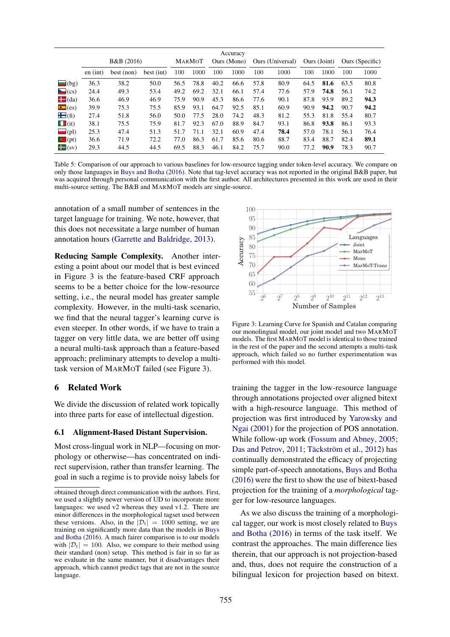|                     |                       |            |            |      |        |      | Accuracy    |      |                  |      |              |      |                 |  |
|---------------------|-----------------------|------------|------------|------|--------|------|-------------|------|------------------|------|--------------|------|-----------------|--|
|                     | <b>B&amp;B</b> (2016) |            |            |      | MARMOT |      | Ours (Mono) |      | Ours (Universal) |      | Ours (Joint) |      | Ours (Specific) |  |
|                     | en (int)              | best (non) | best (int) | 100  | 1000   | 100  | 1000        | 100  | 1000             | 100  | 1000         | 100  | 1000            |  |
| $\equiv$ (bg)       | 36.3                  | 38.2       | 50.0       | 56.5 | 78.8   | 40.2 | 66.6        | 57.8 | 80.9             | 64.5 | 81.6         | 63.5 | 80.8            |  |
| $\sum$ (cs)         | 24.4                  | 49.3       | 53.4       | 49.2 | 69.2   | 32.1 | 66.1        | 57.4 | 77.6             | 57.9 | 74.8         | 56.1 | 74.2            |  |
| $\blacksquare$ (da) | 36.6                  | 46.9       | 46.9       | 75.9 | 90.9   | 45.3 | 86.6        | 77.6 | 90.1             | 87.8 | 93.9         | 89.2 | 94.3            |  |
| $\blacksquare$ (es) | 39.9                  | 75.3       | 75.5       | 85.9 | 93.1   | 64.7 | 92.5        | 85.1 | 60.9             | 90.9 | 94.2         | 90.7 | 94.2            |  |
| $\blacksquare$ (fi) | 27.4                  | 51.8       | 56.0       | 50.0 | 77.5   | 28.0 | 74.2        | 48.3 | 81.2             | 55.3 | 81.8         | 55.4 | 80.7            |  |
| $\blacksquare$ (it) | 38.1                  | 75.5       | 75.9       | 81.7 | 92.3   | 67.0 | 88.9        | 84.7 | 93.1             | 86.8 | 93.8         | 86.1 | 93.3            |  |
| $\blacksquare$ (pl) | 25.3                  | 47.4       | 51.3       | 51.7 | 71.1   | 32.1 | 60.9        | 47.4 | 78.4             | 57.0 | 78.1         | 56.1 | 76.4            |  |
| $\bullet$ (pt)      | 36.6                  | 71.9       | 72.2       | 77.0 | 86.3   | 61.7 | 85.6        | 80.6 | 88.7             | 83.4 | 88.7         | 82.4 | 89.1            |  |
| $\blacksquare$ (sv) | 29.3                  | 44.5       | 44.5       | 69.5 | 88.3   | 46.1 | 84.2        | 75.7 | 90.0             | 77.2 | 90.9         | 78.3 | 90.7            |  |

Table 5: Comparison of our approach to various baselines for low-resource tagging under token-level accuracy. We compare on only those languages in Buys and Botha (2016). Note that tag-level accuracy was not reported in the original B&B paper, but was acquired through personal communication with the first author. All architectures presented in this work are used in their multi-source setting. The B&B and MARMOT models are single-source.

annotation of a small number of sentences in the target language for training. We note, however, that this does not necessitate a large number of human annotation hours (Garrette and Baldridge, 2013).

Reducing Sample Complexity. Another interesting a point about our model that is best evinced in Figure 3 is the feature-based CRF approach seems to be a better choice for the low-resource setting, i.e., the neural model has greater sample complexity. However, in the multi-task scenario, we find that the neural tagger's learning curve is even steeper. In other words, if we have to train a tagger on very little data, we are better off using a neural multi-task approach than a feature-based approach; preliminary attempts to develop a multitask version of MARMOT failed (see Figure 3).

#### 6 Related Work

We divide the discussion of related work topically into three parts for ease of intellectual digestion.

#### 6.1 Alignment-Based Distant Supervision.

Most cross-lingual work in NLP—focusing on morphology or otherwise—has concentrated on indirect supervision, rather than transfer learning. The goal in such a regime is to provide noisy labels for



Figure 3: Learning Curve for Spanish and Catalan comparing our monolingual model, our joint model and two MARMOT models. The first MARMOT model is identical to those trained in the rest of the paper and the second attempts a multi-task approach, which failed so no further experimentation was performed with this model.

training the tagger in the low-resource language through annotations projected over aligned bitext with a high-resource language. This method of projection was first introduced by Yarowsky and Ngai (2001) for the projection of POS annotation. While follow-up work (Fossum and Abney, 2005; Das and Petrov, 2011; Täckström et al., 2012) has continually demonstrated the efficacy of projecting simple part-of-speech annotations, Buys and Botha (2016) were the first to show the use of bitext-based projection for the training of a *morphological* tagger for low-resource languages.

As we also discuss the training of a morphological tagger, our work is most closely related to Buys and Botha (2016) in terms of the task itself. We contrast the approaches. The main difference lies therein, that our approach is not projection-based and, thus, does not require the construction of a bilingual lexicon for projection based on bitext.

obtained through direct communication with the authors. First, we used a slightly newer version of UD to incorporate more languages: we used v2 whereas they used v1.2. There are minor differences in the morphological tagset used between these versions. Also, in the  $|\mathcal{D}_t| = 1000$  setting, we are training on significantly more data than the models in Buys and Botha (2016). A much fairer comparison is to our models with  $|\mathcal{D}_t| = 100$ . Also, we compare to their method using their standard (non) setup. This method is fair in so far as we evaluate in the same manner, but it disadvantages their approach, which cannot predict tags that are not in the source language.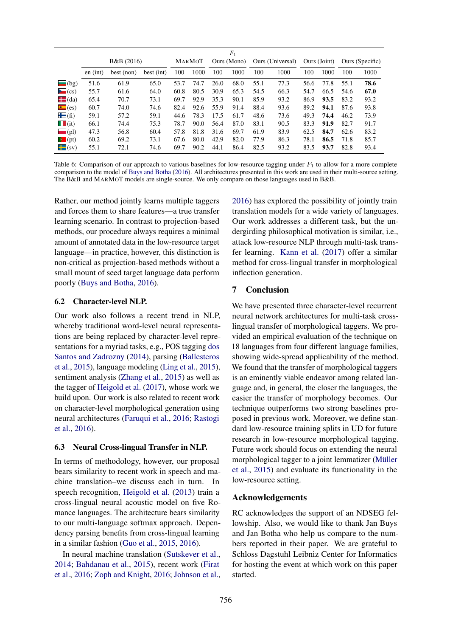|                     |                       |            |            |      |        |      | $F_1$       |                  |      |              |      |                 |      |
|---------------------|-----------------------|------------|------------|------|--------|------|-------------|------------------|------|--------------|------|-----------------|------|
|                     | <b>B&amp;B</b> (2016) |            |            |      | MARMOT |      | Ours (Mono) | Ours (Universal) |      | Ours (Joint) |      | Ours (Specific) |      |
|                     | en (int)              | best (non) | best (int) | 100  | 1000   | 100  | 1000        | 100              | 1000 | 100          | 1000 | 100             | 1000 |
| $\equiv$ (bg)       | 51.6                  | 61.9       | 65.0       | 53.7 | 74.7   | 26.0 | 68.0        | 55.1             | 77.3 | 56.6         | 77.8 | 55.1            | 78.6 |
| $\sum$ (cs)         | 55.7                  | 61.6       | 64.0       | 60.8 | 80.5   | 30.9 | 65.3        | 54.5             | 66.3 | 54.7         | 66.5 | 54.6            | 67.0 |
| $\blacksquare$ (da) | 65.4                  | 70.7       | 73.1       | 69.7 | 92.9   | 35.3 | 90.1        | 85.9             | 93.2 | 86.9         | 93.5 | 83.2            | 93.2 |
| $\blacksquare$ (es) | 60.7                  | 74.0       | 74.6       | 82.4 | 92.6   | 55.9 | 91.4        | 88.4             | 93.6 | 89.2         | 94.1 | 87.6            | 93.8 |
| $\blacksquare$ (fi) | 59.1                  | 57.2       | 59.1       | 44.6 | 78.3   | 17.5 | 61.7        | 48.6             | 73.6 | 49.3         | 74.4 | 46.2            | 73.9 |
| $\blacksquare$ (it) | 66.1                  | 74.4       | 75.3       | 78.7 | 90.0   | 56.4 | 87.0        | 83.1             | 90.5 | 83.3         | 91.9 | 82.7            | 91.7 |
| $\blacksquare$ (pl) | 47.3                  | 56.8       | 60.4       | 57.8 | 81.8   | 31.6 | 69.7        | 61.9             | 83.9 | 62.5         | 84.7 | 62.6            | 83.2 |
| $\bullet$ (pt)      | 60.2                  | 69.2       | 73.1       | 67.6 | 80.0   | 42.9 | 82.0        | 77.9             | 86.3 | 78.1         | 86.5 | 71.8            | 85.7 |
| $\blacksquare$ (sv) | 55.1                  | 72.1       | 74.6       | 69.7 | 90.2   | 44.1 | 86.4        | 82.5             | 93.2 | 83.5         | 93.7 | 82.8            | 93.4 |

Table 6: Comparison of our approach to various baselines for low-resource tagging under  $F_1$  to allow for a more complete comparison to the model of Buys and Botha (2016). All architectures presented in this work are used in their multi-source setting. The B&B and MARMOT models are single-source. We only compare on those languages used in B&B.

Rather, our method jointly learns multiple taggers and forces them to share features—a true transfer learning scenario. In contrast to projection-based methods, our procedure always requires a minimal amount of annotated data in the low-resource target language—in practice, however, this distinction is non-critical as projection-based methods without a small mount of seed target language data perform poorly (Buys and Botha, 2016).

#### 6.2 Character-level NLP.

Our work also follows a recent trend in NLP, whereby traditional word-level neural representations are being replaced by character-level representations for a myriad tasks, e.g., POS tagging dos Santos and Zadrozny (2014), parsing (Ballesteros et al., 2015), language modeling (Ling et al., 2015), sentiment analysis (Zhang et al., 2015) as well as the tagger of Heigold et al. (2017), whose work we build upon. Our work is also related to recent work on character-level morphological generation using neural architectures (Faruqui et al., 2016; Rastogi et al., 2016).

### 6.3 Neural Cross-lingual Transfer in NLP.

In terms of methodology, however, our proposal bears similarity to recent work in speech and machine translation–we discuss each in turn. In speech recognition, Heigold et al. (2013) train a cross-lingual neural acoustic model on five Romance languages. The architecture bears similarity to our multi-language softmax approach. Dependency parsing benefits from cross-lingual learning in a similar fashion (Guo et al., 2015, 2016).

In neural machine translation (Sutskever et al., 2014; Bahdanau et al., 2015), recent work (Firat et al., 2016; Zoph and Knight, 2016; Johnson et al.,

2016) has explored the possibility of jointly train translation models for a wide variety of languages. Our work addresses a different task, but the undergirding philosophical motivation is similar, i.e., attack low-resource NLP through multi-task transfer learning. Kann et al. (2017) offer a similar method for cross-lingual transfer in morphological inflection generation.

# 7 Conclusion

We have presented three character-level recurrent neural network architectures for multi-task crosslingual transfer of morphological taggers. We provided an empirical evaluation of the technique on 18 languages from four different language families, showing wide-spread applicability of the method. We found that the transfer of morphological taggers is an eminently viable endeavor among related language and, in general, the closer the languages, the easier the transfer of morphology becomes. Our technique outperforms two strong baselines proposed in previous work. Moreover, we define standard low-resource training splits in UD for future research in low-resource morphological tagging. Future work should focus on extending the neural morphological tagger to a joint lemmatizer (Müller et al., 2015) and evaluate its functionality in the low-resource setting.

### Acknowledgements

RC acknowledges the support of an NDSEG fellowship. Also, we would like to thank Jan Buys and Jan Botha who help us compare to the numbers reported in their paper. We are grateful to Schloss Dagstuhl Leibniz Center for Informatics for hosting the event at which work on this paper started.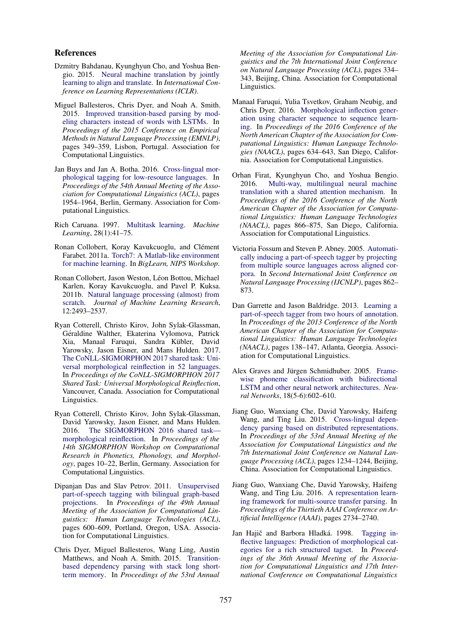#### References

- Dzmitry Bahdanau, Kyunghyun Cho, and Yoshua Bengio. 2015. Neural machine translation by jointly learning to align and translate. In *International Conference on Learning Representations (ICLR)*.
- Miguel Ballesteros, Chris Dyer, and Noah A. Smith. 2015. Improved transition-based parsing by modeling characters instead of words with LSTMs. In *Proceedings of the 2015 Conference on Empirical Methods in Natural Language Processing (EMNLP)*, pages 349–359, Lisbon, Portugal. Association for Computational Linguistics.
- Jan Buys and Jan A. Botha. 2016. Cross-lingual morphological tagging for low-resource languages. In *Proceedings of the 54th Annual Meeting of the Association for Computational Linguistics (ACL)*, pages 1954–1964, Berlin, Germany. Association for Computational Linguistics.
- Rich Caruana. 1997. Multitask learning. *Machine Learning*, 28(1):41–75.
- Ronan Collobert, Koray Kavukcuoglu, and Clément Farabet. 2011a. Torch7: A Matlab-like environment for machine learning. In *BigLearn, NIPS Workshop*.
- Ronan Collobert, Jason Weston, Léon Bottou, Michael Karlen, Koray Kavukcuoglu, and Pavel P. Kuksa. 2011b. Natural language processing (almost) from scratch. *Journal of Machine Learning Research*, 12:2493–2537.
- Ryan Cotterell, Christo Kirov, John Sylak-Glassman, Géraldine Walther, Ekaterina Vylomova, Patrick Xia, Manaal Faruqui, Sandra Kübler, David Yarowsky, Jason Eisner, and Mans Hulden. 2017. The CoNLL-SIGMORPHON 2017 shared task: Universal morphological reinflection in 52 languages. In *Proceedings of the CoNLL-SIGMORPHON 2017 Shared Task: Universal Morphological Reinflection*, Vancouver, Canada. Association for Computational Linguistics.
- Ryan Cotterell, Christo Kirov, John Sylak-Glassman, David Yarowsky, Jason Eisner, and Mans Hulden. 2016. The SIGMORPHON 2016 shared task morphological reinflection. In *Proceedings of the 14th SIGMORPHON Workshop on Computational Research in Phonetics, Phonology, and Morphology*, pages 10–22, Berlin, Germany. Association for Computational Linguistics.
- Dipanjan Das and Slav Petrov. 2011. Unsupervised part-of-speech tagging with bilingual graph-based projections. In *Proceedings of the 49th Annual Meeting of the Association for Computational Linguistics: Human Language Technologies (ACL)*, pages 600–609, Portland, Oregon, USA. Association for Computational Linguistics.
- Chris Dyer, Miguel Ballesteros, Wang Ling, Austin Matthews, and Noah A. Smith. 2015. Transitionbased dependency parsing with stack long shortterm memory. In *Proceedings of the 53rd Annual*

*Meeting of the Association for Computational Linguistics and the 7th International Joint Conference on Natural Language Processing (ACL)*, pages 334– 343, Beijing, China. Association for Computational Linguistics.

- Manaal Faruqui, Yulia Tsvetkov, Graham Neubig, and Chris Dyer. 2016. Morphological inflection generation using character sequence to sequence learning. In *Proceedings of the 2016 Conference of the North American Chapter of the Association for Computational Linguistics: Human Language Technologies (NAACL)*, pages 634–643, San Diego, California. Association for Computational Linguistics.
- Orhan Firat, Kyunghyun Cho, and Yoshua Bengio. 2016. Multi-way, multilingual neural machine translation with a shared attention mechanism. In *Proceedings of the 2016 Conference of the North American Chapter of the Association for Computational Linguistics: Human Language Technologies (NAACL)*, pages 866–875, San Diego, California. Association for Computational Linguistics.
- Victoria Fossum and Steven P. Abney. 2005. Automatically inducing a part-of-speech tagger by projecting from multiple source languages across aligned corpora. In *Second International Joint Conference on Natural Language Processing (IJCNLP)*, pages 862– 873.
- Dan Garrette and Jason Baldridge. 2013. Learning a part-of-speech tagger from two hours of annotation. In *Proceedings of the 2013 Conference of the North American Chapter of the Association for Computational Linguistics: Human Language Technologies (NAACL)*, pages 138–147, Atlanta, Georgia. Association for Computational Linguistics.
- Alex Graves and Jürgen Schmidhuber. 2005. Framewise phoneme classification with bidirectional LSTM and other neural network architectures. *Neural Networks*, 18(5-6):602–610.
- Jiang Guo, Wanxiang Che, David Yarowsky, Haifeng Wang, and Ting Liu. 2015. Cross-lingual dependency parsing based on distributed representations. In *Proceedings of the 53rd Annual Meeting of the Association for Computational Linguistics and the 7th International Joint Conference on Natural Language Processing (ACL)*, pages 1234–1244, Beijing, China. Association for Computational Linguistics.
- Jiang Guo, Wanxiang Che, David Yarowsky, Haifeng Wang, and Ting Liu. 2016. A representation learning framework for multi-source transfer parsing. In *Proceedings of the Thirtieth AAAI Conference on Artificial Intelligence (AAAI)*, pages 2734–2740.
- Jan Hajič and Barbora Hladká. 1998. Tagging inflective languages: Prediction of morphological categories for a rich structured tagset. In *Proceedings of the 36th Annual Meeting of the Association for Computational Linguistics and 17th International Conference on Computational Linguistics*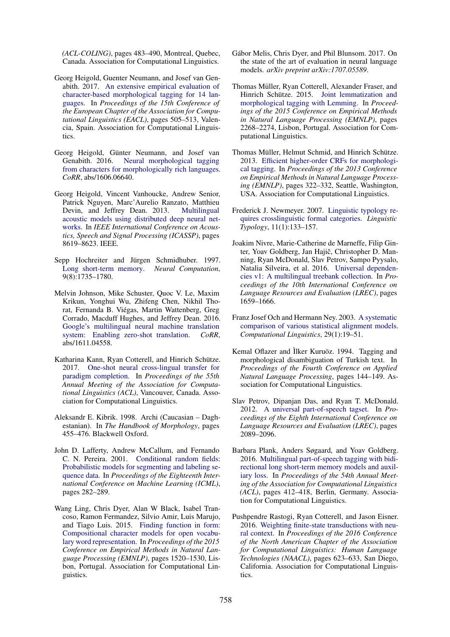*(ACL-COLING)*, pages 483–490, Montreal, Quebec, Canada. Association for Computational Linguistics.

- Georg Heigold, Guenter Neumann, and Josef van Genabith. 2017. An extensive empirical evaluation of character-based morphological tagging for 14 languages. In *Proceedings of the 15th Conference of the European Chapter of the Association for Computational Linguistics (EACL)*, pages 505–513, Valencia, Spain. Association for Computational Linguistics.
- Georg Heigold, Günter Neumann, and Josef van Genabith. 2016. Neural morphological tagging from characters for morphologically rich languages. *CoRR*, abs/1606.06640.
- Georg Heigold, Vincent Vanhoucke, Andrew Senior, Patrick Nguyen, Marc'Aurelio Ranzato, Matthieu<br>Devin, and Jeffrey Dean. 2013. Multilingual Devin, and Jeffrey Dean. 2013. acoustic models using distributed deep neural networks. In *IEEE International Conference on Acoustics, Speech and Signal Processing (ICASSP)*, pages 8619–8623. IEEE.
- Sepp Hochreiter and Jürgen Schmidhuber. 1997. Long short-term memory. *Neural Computation*, 9(8):1735–1780.
- Melvin Johnson, Mike Schuster, Quoc V. Le, Maxim Krikun, Yonghui Wu, Zhifeng Chen, Nikhil Thorat, Fernanda B. Viegas, Martin Wattenberg, Greg ´ Corrado, Macduff Hughes, and Jeffrey Dean. 2016. Google's multilingual neural machine translation system: Enabling zero-shot translation. *CoRR*, abs/1611.04558.
- Katharina Kann, Ryan Cotterell, and Hinrich Schütze. 2017. One-shot neural cross-lingual transfer for paradigm completion. In *Proceedings of the 55th Annual Meeting of the Association for Computational Linguistics (ACL)*, Vancouver, Canada. Association for Computational Linguistics.
- Aleksandr E. Kibrik. 1998. Archi (Caucasian Daghestanian). In *The Handbook of Morphology*, pages 455–476. Blackwell Oxford.
- John D. Lafferty, Andrew McCallum, and Fernando C. N. Pereira. 2001. Conditional random fields: Probabilistic models for segmenting and labeling sequence data. In *Proceedings of the Eighteenth International Conference on Machine Learning (ICML)*, pages 282–289.
- Wang Ling, Chris Dyer, Alan W Black, Isabel Trancoso, Ramon Fermandez, Silvio Amir, Luis Marujo, and Tiago Luis. 2015. Finding function in form: Compositional character models for open vocabulary word representation. In *Proceedings of the 2015 Conference on Empirical Methods in Natural Language Processing (EMNLP)*, pages 1520–1530, Lisbon, Portugal. Association for Computational Linguistics.
- Gábor Melis, Chris Dyer, and Phil Blunsom, 2017. On the state of the art of evaluation in neural language models. *arXiv preprint arXiv:1707.05589*.
- Thomas Müller, Ryan Cotterell, Alexander Fraser, and Hinrich Schütze. 2015. Joint lemmatization and morphological tagging with Lemming. In *Proceedings of the 2015 Conference on Empirical Methods in Natural Language Processing (EMNLP)*, pages 2268–2274, Lisbon, Portugal. Association for Computational Linguistics.
- Thomas Müller, Helmut Schmid, and Hinrich Schütze. 2013. Efficient higher-order CRFs for morphological tagging. In *Proceedings of the 2013 Conference on Empirical Methods in Natural Language Processing (EMNLP)*, pages 322–332, Seattle, Washington, USA. Association for Computational Linguistics.
- Frederick J. Newmeyer. 2007. Linguistic typology requires crosslinguistic formal categories. *Linguistic Typology*, 11(1):133–157.
- Joakim Nivre, Marie-Catherine de Marneffe, Filip Ginter, Yoav Goldberg, Jan Hajič, Christopher D. Manning, Ryan McDonald, Slav Petrov, Sampo Pyysalo, Natalia Silveira, et al. 2016. Universal dependencies v1: A multilingual treebank collection. In *Proceedings of the 10th International Conference on Language Resources and Evaluation (LREC)*, pages 1659–1666.
- Franz Josef Och and Hermann Ney. 2003. A systematic comparison of various statistical alignment models. *Computational Linguistics*, 29(1):19–51.
- Kemal Oflazer and Ìlker Kuruöz. 1994. Tagging and morphological disambiguation of Turkish text. In *Proceedings of the Fourth Conference on Applied Natural Language Processing*, pages 144–149. Association for Computational Linguistics.
- Slav Petrov, Dipanjan Das, and Ryan T. McDonald. 2012. A universal part-of-speech tagset. In *Proceedings of the Eighth International Conference on Language Resources and Evaluation (LREC)*, pages 2089–2096.
- Barbara Plank, Anders Søgaard, and Yoav Goldberg. 2016. Multilingual part-of-speech tagging with bidirectional long short-term memory models and auxiliary loss. In *Proceedings of the 54th Annual Meeting of the Association for Computational Linguistics (ACL)*, pages 412–418, Berlin, Germany. Association for Computational Linguistics.
- Pushpendre Rastogi, Ryan Cotterell, and Jason Eisner. 2016. Weighting finite-state transductions with neural context. In *Proceedings of the 2016 Conference of the North American Chapter of the Association for Computational Linguistics: Human Language Technologies (NAACL)*, pages 623–633, San Diego, California. Association for Computational Linguistics.